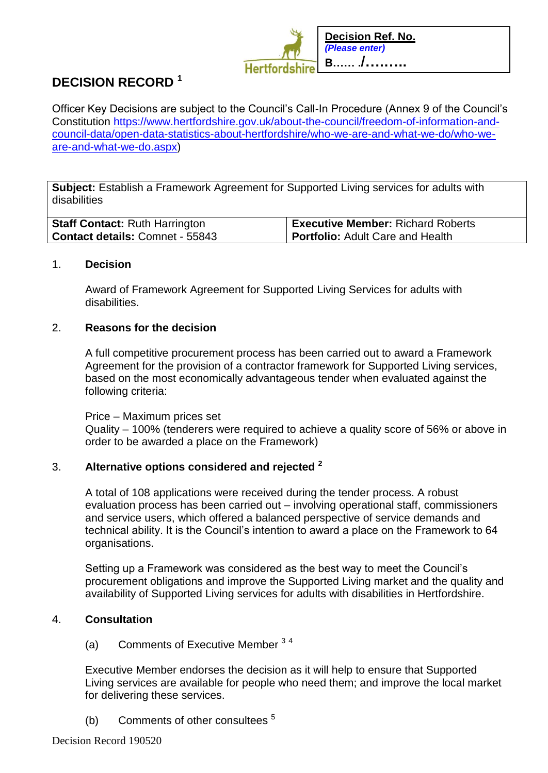

# **DECISION RECORD <sup>1</sup>**

Officer Key Decisions are subject to the Council's Call-In Procedure (Annex 9 of the Council's Constitution [https://www.hertfordshire.gov.uk/about-the-council/freedom-of-information-and](https://www.hertfordshire.gov.uk/about-the-council/freedom-of-information-and-council-data/open-data-statistics-about-hertfordshire/who-we-are-and-what-we-do/who-we-are-and-what-we-do.aspx)[council-data/open-data-statistics-about-hertfordshire/who-we-are-and-what-we-do/who-we](https://www.hertfordshire.gov.uk/about-the-council/freedom-of-information-and-council-data/open-data-statistics-about-hertfordshire/who-we-are-and-what-we-do/who-we-are-and-what-we-do.aspx)[are-and-what-we-do.aspx\)](https://www.hertfordshire.gov.uk/about-the-council/freedom-of-information-and-council-data/open-data-statistics-about-hertfordshire/who-we-are-and-what-we-do/who-we-are-and-what-we-do.aspx)

**Subject:** Establish a Framework Agreement for Supported Living services for adults with disabilities

| <b>Staff Contact: Ruth Harrington</b>  | <b>Executive Member: Richard Roberts</b> |
|----------------------------------------|------------------------------------------|
| <b>Contact details: Comnet - 55843</b> | <b>Portfolio:</b> Adult Care and Health  |

### 1. **Decision**

Award of Framework Agreement for Supported Living Services for adults with disabilities.

### 2. **Reasons for the decision**

A full competitive procurement process has been carried out to award a Framework Agreement for the provision of a contractor framework for Supported Living services, based on the most economically advantageous tender when evaluated against the following criteria:

Price – Maximum prices set Quality – 100% (tenderers were required to achieve a quality score of 56% or above in order to be awarded a place on the Framework)

# 3. **Alternative options considered and rejected <sup>2</sup>**

A total of 108 applications were received during the tender process. A robust evaluation process has been carried out – involving operational staff, commissioners and service users, which offered a balanced perspective of service demands and technical ability. It is the Council's intention to award a place on the Framework to 64 organisations.

Setting up a Framework was considered as the best way to meet the Council's procurement obligations and improve the Supported Living market and the quality and availability of Supported Living services for adults with disabilities in Hertfordshire.

# 4. **Consultation**

(a) Comments of Executive Member <sup>3</sup> <sup>4</sup>

Executive Member endorses the decision as it will help to ensure that Supported Living services are available for people who need them; and improve the local market for delivering these services.

(b) Comments of other consultees <sup>5</sup>